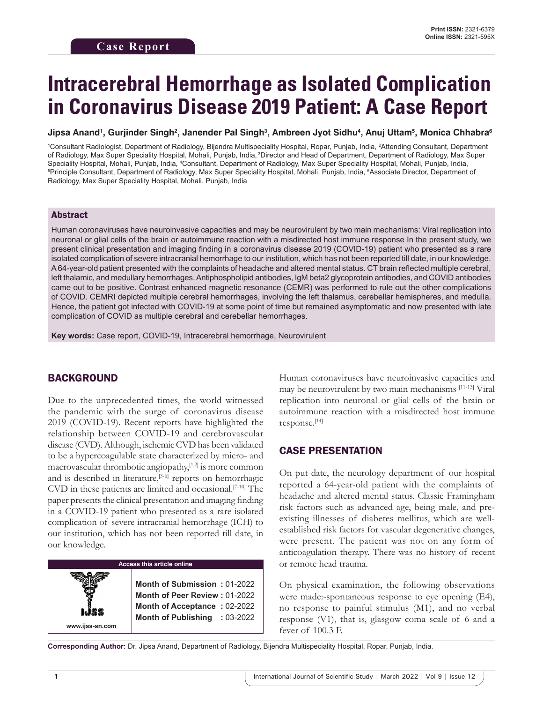# **Intracerebral Hemorrhage as Isolated Complication in Coronavirus Disease 2019 Patient: A Case Report**

**Jipsa Anand1 , Gurjinder Singh2 , Janender Pal Singh3 , Ambreen Jyot Sidhu4 , Anuj Uttam5 , Monica Chhabra6**

1 Consultant Radiologist, Department of Radiology, Bijendra Multispeciality Hospital, Ropar, Punjab, India, 2 Attending Consultant, Department of Radiology, Max Super Speciality Hospital, Mohali, Punjab, India, 3Director and Head of Department, Department of Radiology, Max Super Speciality Hospital, Mohali, Punjab, India, <del>"</del>Consultant, Department of Radiology, Max Super Speciality Hospital, Mohali, Punjab, India,<br><sup>sp</sup>rinciple Consultant, Department of Radiology, Max Super Speciality Hospital, Moh Principle Consultant, Department of Radiology, Max Super Speciality Hospital, Mohali, Punjab, India, <sup>6</sup>Associate Director, Department of Radiology, Max Super Speciality Hospital, Mohali, Punjab, India

## Abstract

Human coronaviruses have neuroinvasive capacities and may be neurovirulent by two main mechanisms: Viral replication into neuronal or glial cells of the brain or autoimmune reaction with a misdirected host immune response In the present study, we present clinical presentation and imaging finding in a coronavirus disease 2019 (COVID-19) patient who presented as a rare isolated complication of severe intracranial hemorrhage to our institution, which has not been reported till date, in our knowledge. A64-year-old patient presented with the complaints of headache and altered mental status. CT brain reflected multiple cerebral, left thalamic, and medullary hemorrhages. Antiphospholipid antibodies, IgM beta2 glycoprotein antibodies, and COVID antibodies came out to be positive. Contrast enhanced magnetic resonance (CEMR) was performed to rule out the other complications of COVID. CEMRI depicted multiple cerebral hemorrhages, involving the left thalamus, cerebellar hemispheres, and medulla. Hence, the patient got infected with COVID-19 at some point of time but remained asymptomatic and now presented with late complication of COVID as multiple cerebral and cerebellar hemorrhages.

**Key words:** Case report, COVID-19, Intracerebral hemorrhage, Neurovirulent

## BACKGROUND

Due to the unprecedented times, the world witnessed the pandemic with the surge of coronavirus disease 2019 (COVID-19). Recent reports have highlighted the relationship between COVID-19 and cerebrovascular disease (CVD). Although, ischemic CVD has been validated to be a hypercoagulable state characterized by micro- and macrovascular thrombotic angiopathy,[1,2] is more common and is described in literature,<sup>[3-6]</sup> reports on hemorrhagic CVD in these patients are limited and occasional.[7-10] The paper presents the clinical presentation and imaging finding in a COVID-19 patient who presented as a rare isolated complication of severe intracranial hemorrhage (ICH) to our institution, which has not been reported till date, in our knowledge.



Human coronaviruses have neuroinvasive capacities and may be neurovirulent by two main mechanisms [11-13] Viral replication into neuronal or glial cells of the brain or autoimmune reaction with a misdirected host immune response.[14]

## CASE PRESENTATION

On put date, the neurology department of our hospital reported a 64-year-old patient with the complaints of headache and altered mental status. Classic Framingham risk factors such as advanced age, being male, and preexisting illnesses of diabetes mellitus, which are wellestablished risk factors for vascular degenerative changes, were present. The patient was not on any form of anticoagulation therapy. There was no history of recent or remote head trauma.

On physical examination, the following observations were made:-spontaneous response to eye opening (E4), no response to painful stimulus (M1), and no verbal response (V1), that is, glasgow coma scale of 6 and a fever of 100.3 F.

**Corresponding Author:** Dr. Jipsa Anand, Department of Radiology, Bijendra Multispeciality Hospital, Ropar, Punjab, India.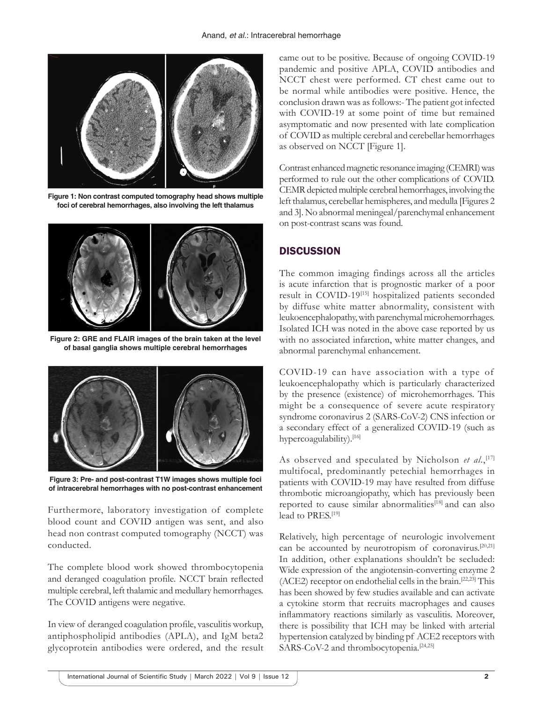

**Figure 1: Non contrast computed tomography head shows multiple foci of cerebral hemorrhages, also involving the left thalamus**



**Figure 2: GRE and FLAIR images of the brain taken at the level of basal ganglia shows multiple cerebral hemorrhages**



**Figure 3: Pre- and post-contrast T1W images shows multiple foci of intracerebral hemorrhages with no post-contrast enhancement**

Furthermore, laboratory investigation of complete blood count and COVID antigen was sent, and also head non contrast computed tomography (NCCT) was conducted.

The complete blood work showed thrombocytopenia and deranged coagulation profile. NCCT brain reflected multiple cerebral, left thalamic and medullary hemorrhages. The COVID antigens were negative.

In view of deranged coagulation profile, vasculitis workup, antiphospholipid antibodies (APLA), and IgM beta2 glycoprotein antibodies were ordered, and the result came out to be positive. Because of ongoing COVID-19 pandemic and positive APLA, COVID antibodies and NCCT chest were performed. CT chest came out to be normal while antibodies were positive. Hence, the conclusion drawn was as follows:- The patient got infected with COVID-19 at some point of time but remained asymptomatic and now presented with late complication of COVID as multiple cerebral and cerebellar hemorrhages as observed on NCCT [Figure 1].

Contrast enhanced magnetic resonance imaging (CEMRI) was performed to rule out the other complications of COVID. CEMR depicted multiple cerebral hemorrhages, involving the left thalamus, cerebellar hemispheres, and medulla [Figures 2 and 3]. No abnormal meningeal/parenchymal enhancement on post-contrast scans was found.

# **DISCUSSION**

The common imaging findings across all the articles is acute infarction that is prognostic marker of a poor result in COVID-19[15] hospitalized patients seconded by diffuse white matter abnormality, consistent with leukoencephalopathy, with parenchymal microhemorrhages. Isolated ICH was noted in the above case reported by us with no associated infarction, white matter changes, and abnormal parenchymal enhancement.

COVID-19 can have association with a type of leukoencephalopathy which is particularly characterized by the presence (existence) of microhemorrhages. This might be a consequence of severe acute respiratory syndrome coronavirus 2 (SARS-CoV-2) CNS infection or a secondary effect of a generalized COVID-19 (such as hypercoagulability).<sup>[16]</sup>

As observed and speculated by Nicholson *et al.*,<sup>[17]</sup> multifocal, predominantly petechial hemorrhages in patients with COVID-19 may have resulted from diffuse thrombotic microangiopathy, which has previously been reported to cause similar abnormalities<sup>[18]</sup> and can also lead to PRES.[19]

Relatively, high percentage of neurologic involvement can be accounted by neurotropism of coronavirus.<sup>[20,21]</sup> In addition, other explanations shouldn't be secluded: Wide expression of the angiotensin-converting enzyme 2 (ACE2) receptor on endothelial cells in the brain.[22,23] This has been showed by few studies available and can activate a cytokine storm that recruits macrophages and causes inflammatory reactions similarly as vasculitis. Moreover, there is possibility that ICH may be linked with arterial hypertension catalyzed by binding pf ACE2 receptors with SARS-CoV-2 and thrombocytopenia.<sup>[24,25]</sup>